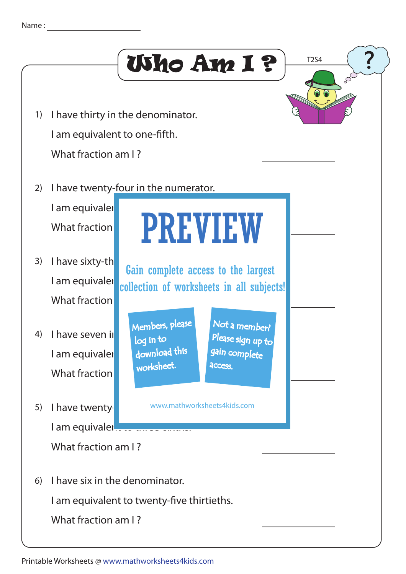